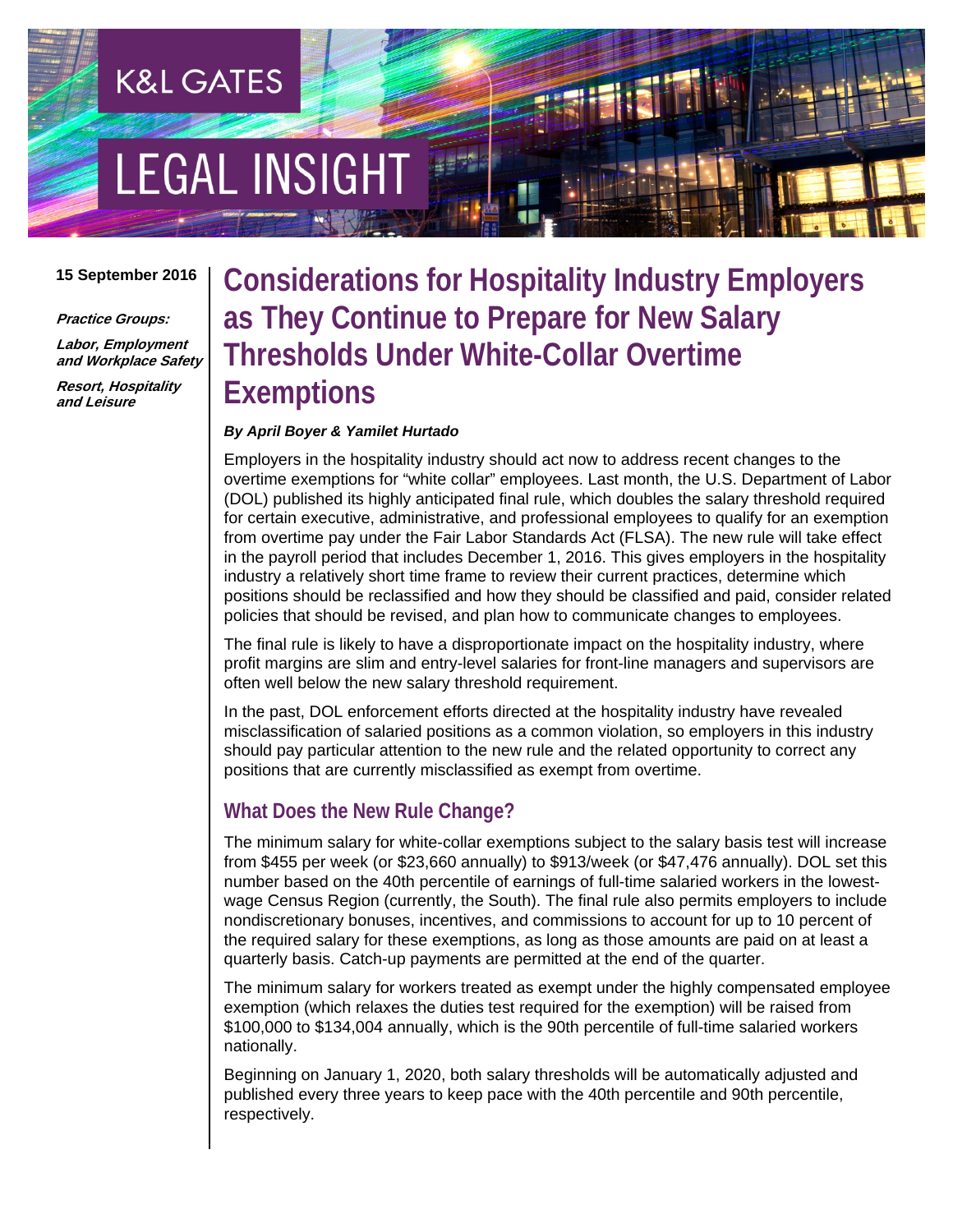# **EGAL INSIGHT**

**K&L GATES** 

#### **15 September 2016**

**Practice Groups:** 

**Labor, Employment and Workplace Safety**

**Resort, Hospitality and Leisure** 

## **Considerations for Hospitality Industry Employers as They Continue to Prepare for New Salary Thresholds Under White-Collar Overtime Exemptions**

#### *By April Boyer & Yamilet Hurtado*

Employers in the hospitality industry should act now to address recent changes to the overtime exemptions for "white collar" employees. Last month, the U.S. Department of Labor (DOL) published its highly anticipated final rule, which doubles the salary threshold required for certain executive, administrative, and professional employees to qualify for an exemption from overtime pay under the Fair Labor Standards Act (FLSA). The new rule will take effect in the payroll period that includes December 1, 2016. This gives employers in the hospitality industry a relatively short time frame to review their current practices, determine which positions should be reclassified and how they should be classified and paid, consider related policies that should be revised, and plan how to communicate changes to employees.

The final rule is likely to have a disproportionate impact on the hospitality industry, where profit margins are slim and entry-level salaries for front-line managers and supervisors are often well below the new salary threshold requirement.

In the past, DOL enforcement efforts directed at the hospitality industry have revealed misclassification of salaried positions as a common violation, so employers in this industry should pay particular attention to the new rule and the related opportunity to correct any positions that are currently misclassified as exempt from overtime.

#### **What Does the New Rule Change?**

The minimum salary for white-collar exemptions subject to the salary basis test will increase from \$455 per week (or \$23,660 annually) to \$913/week (or \$47,476 annually). DOL set this number based on the 40th percentile of earnings of full-time salaried workers in the lowestwage Census Region (currently, the South). The final rule also permits employers to include nondiscretionary bonuses, incentives, and commissions to account for up to 10 percent of the required salary for these exemptions, as long as those amounts are paid on at least a quarterly basis. Catch-up payments are permitted at the end of the quarter.

The minimum salary for workers treated as exempt under the highly compensated employee exemption (which relaxes the duties test required for the exemption) will be raised from \$100,000 to \$134,004 annually, which is the 90th percentile of full-time salaried workers nationally.

Beginning on January 1, 2020, both salary thresholds will be automatically adjusted and published every three years to keep pace with the 40th percentile and 90th percentile, respectively.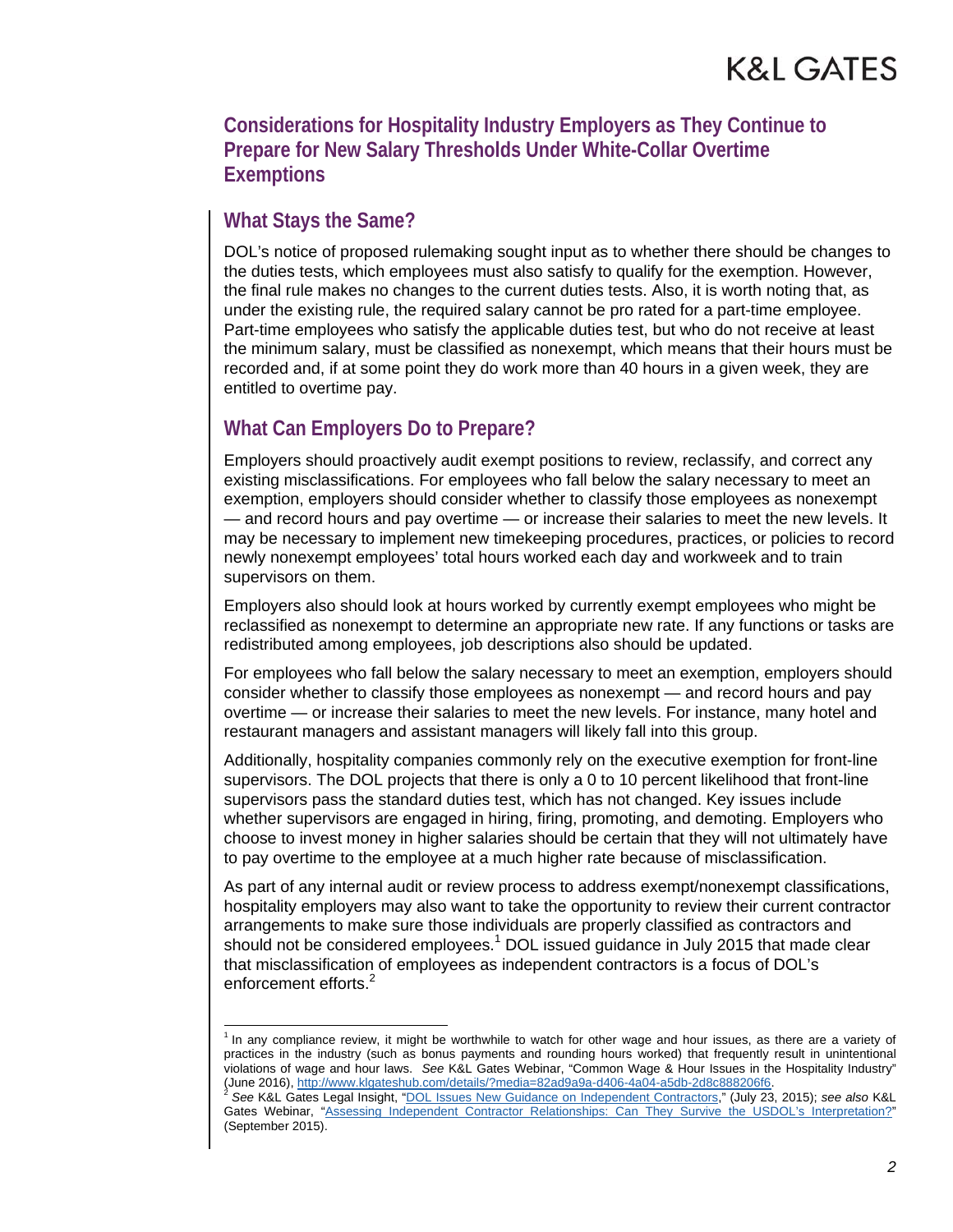**Considerations for Hospitality Industry Employers as They Continue to Prepare for New Salary Thresholds Under White-Collar Overtime Exemptions**

#### **What Stays the Same?**

l

DOL's notice of proposed rulemaking sought input as to whether there should be changes to the duties tests, which employees must also satisfy to qualify for the exemption. However, the final rule makes no changes to the current duties tests. Also, it is worth noting that, as under the existing rule, the required salary cannot be pro rated for a part-time employee. Part-time employees who satisfy the applicable duties test, but who do not receive at least the minimum salary, must be classified as nonexempt, which means that their hours must be recorded and, if at some point they do work more than 40 hours in a given week, they are entitled to overtime pay.

#### **What Can Employers Do to Prepare?**

Employers should proactively audit exempt positions to review, reclassify, and correct any existing misclassifications. For employees who fall below the salary necessary to meet an exemption, employers should consider whether to classify those employees as nonexempt — and record hours and pay overtime — or increase their salaries to meet the new levels. It may be necessary to implement new timekeeping procedures, practices, or policies to record newly nonexempt employees' total hours worked each day and workweek and to train supervisors on them.

Employers also should look at hours worked by currently exempt employees who might be reclassified as nonexempt to determine an appropriate new rate. If any functions or tasks are redistributed among employees, job descriptions also should be updated.

For employees who fall below the salary necessary to meet an exemption, employers should consider whether to classify those employees as nonexempt — and record hours and pay overtime — or increase their salaries to meet the new levels. For instance, many hotel and restaurant managers and assistant managers will likely fall into this group.

Additionally, hospitality companies commonly rely on the executive exemption for front-line supervisors. The DOL projects that there is only a 0 to 10 percent likelihood that front-line supervisors pass the standard duties test, which has not changed. Key issues include whether supervisors are engaged in hiring, firing, promoting, and demoting. Employers who choose to invest money in higher salaries should be certain that they will not ultimately have to pay overtime to the employee at a much higher rate because of misclassification.

As part of any internal audit or review process to address exempt/nonexempt classifications, hospitality employers may also want to take the opportunity to review their current contractor arrangements to make sure those individuals are properly classified as contractors and should not be considered employees. $1$  DOL issued guidance in July 2015 that made clear that misclassification of employees as independent contractors is a focus of DOL's enforcement efforts.<sup>2</sup>

<sup>&</sup>lt;sup>1</sup> In any compliance review, it might be worthwhile to watch for other wage and hour issues, as there are a variety of practices in the industry (such as bonus payments and rounding hours worked) that frequently result in unintentional violations of wage and hour laws. *See* K&L Gates Webinar, "Common Wage & Hour Issues in the Hospitality Industry"

<sup>(</sup>June 2016), http://www.klgateshub.com/details/?media=82ad9a9a-d406-4a04-a5db-2d8c888206f6. 2 *See* K&L Gates Legal Insight, ["DOL Issues New Guidance on Independent Contractors,](http://www.klgateshub.com/details/?pub=DOL-Issues-New-Guidance-on-Independent-Contractors-07-23-2015)" (July 23, 2015); *see also* K&L Gates Webinar, ["Assessing Independent Contractor Relationships: Can They Survive the USDOL's Interpretation?](http://www.klgateshub.com/details/?media=c751e4e6-600e-445a-ab06-2bab42129052)" (September 2015).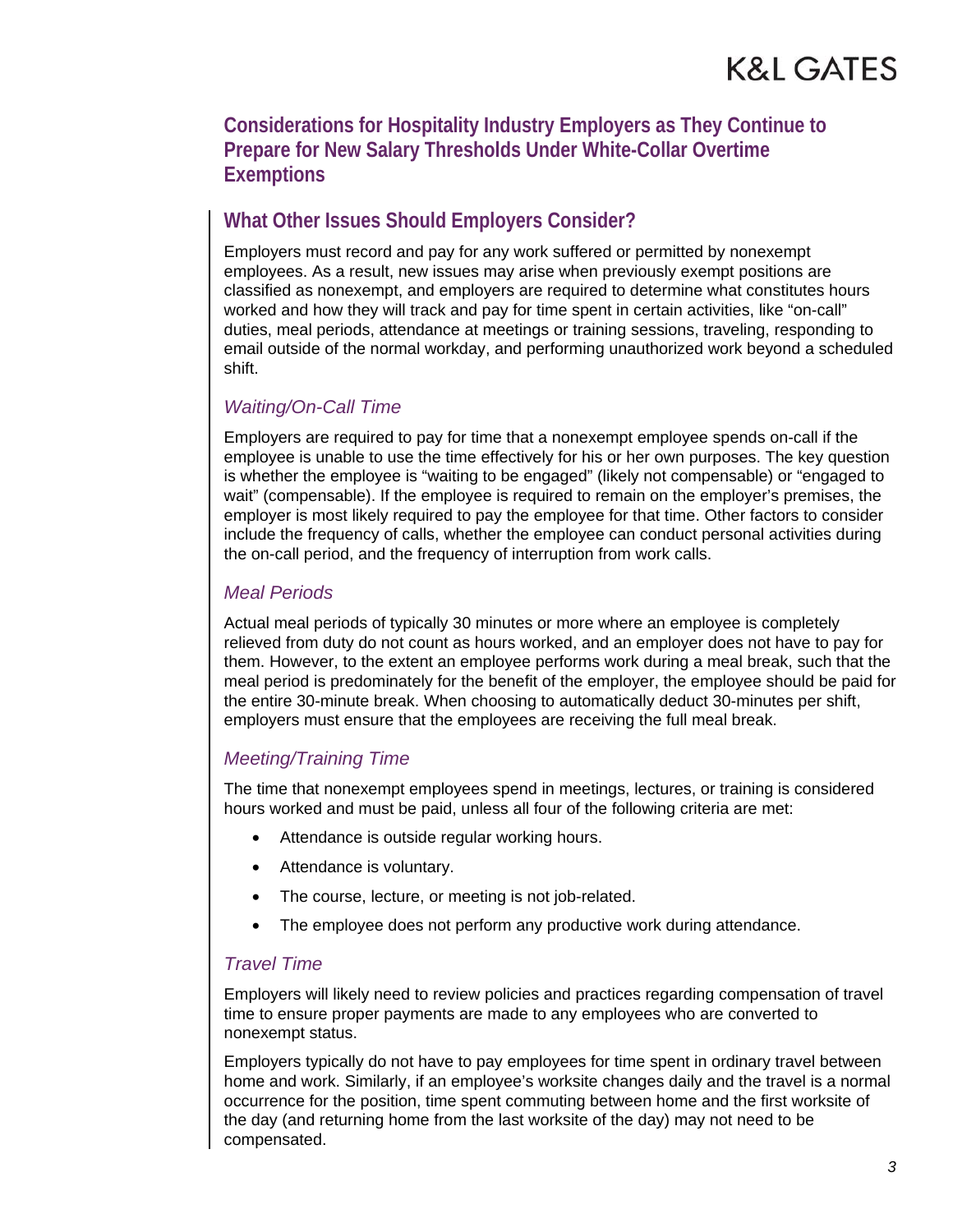**Considerations for Hospitality Industry Employers as They Continue to Prepare for New Salary Thresholds Under White-Collar Overtime Exemptions**

#### **What Other Issues Should Employers Consider?**

Employers must record and pay for any work suffered or permitted by nonexempt employees. As a result, new issues may arise when previously exempt positions are classified as nonexempt, and employers are required to determine what constitutes hours worked and how they will track and pay for time spent in certain activities, like "on-call" duties, meal periods, attendance at meetings or training sessions, traveling, responding to email outside of the normal workday, and performing unauthorized work beyond a scheduled shift.

#### *Waiting/On-Call Time*

Employers are required to pay for time that a nonexempt employee spends on-call if the employee is unable to use the time effectively for his or her own purposes. The key question is whether the employee is "waiting to be engaged" (likely not compensable) or "engaged to wait" (compensable). If the employee is required to remain on the employer's premises, the employer is most likely required to pay the employee for that time. Other factors to consider include the frequency of calls, whether the employee can conduct personal activities during the on-call period, and the frequency of interruption from work calls.

#### *Meal Periods*

Actual meal periods of typically 30 minutes or more where an employee is completely relieved from duty do not count as hours worked, and an employer does not have to pay for them. However, to the extent an employee performs work during a meal break, such that the meal period is predominately for the benefit of the employer, the employee should be paid for the entire 30-minute break. When choosing to automatically deduct 30-minutes per shift, employers must ensure that the employees are receiving the full meal break.

#### *Meeting/Training Time*

The time that nonexempt employees spend in meetings, lectures, or training is considered hours worked and must be paid, unless all four of the following criteria are met:

- Attendance is outside regular working hours.
- Attendance is voluntary.
- The course, lecture, or meeting is not job-related.
- The employee does not perform any productive work during attendance.

#### *Travel Time*

Employers will likely need to review policies and practices regarding compensation of travel time to ensure proper payments are made to any employees who are converted to nonexempt status.

Employers typically do not have to pay employees for time spent in ordinary travel between home and work. Similarly, if an employee's worksite changes daily and the travel is a normal occurrence for the position, time spent commuting between home and the first worksite of the day (and returning home from the last worksite of the day) may not need to be compensated.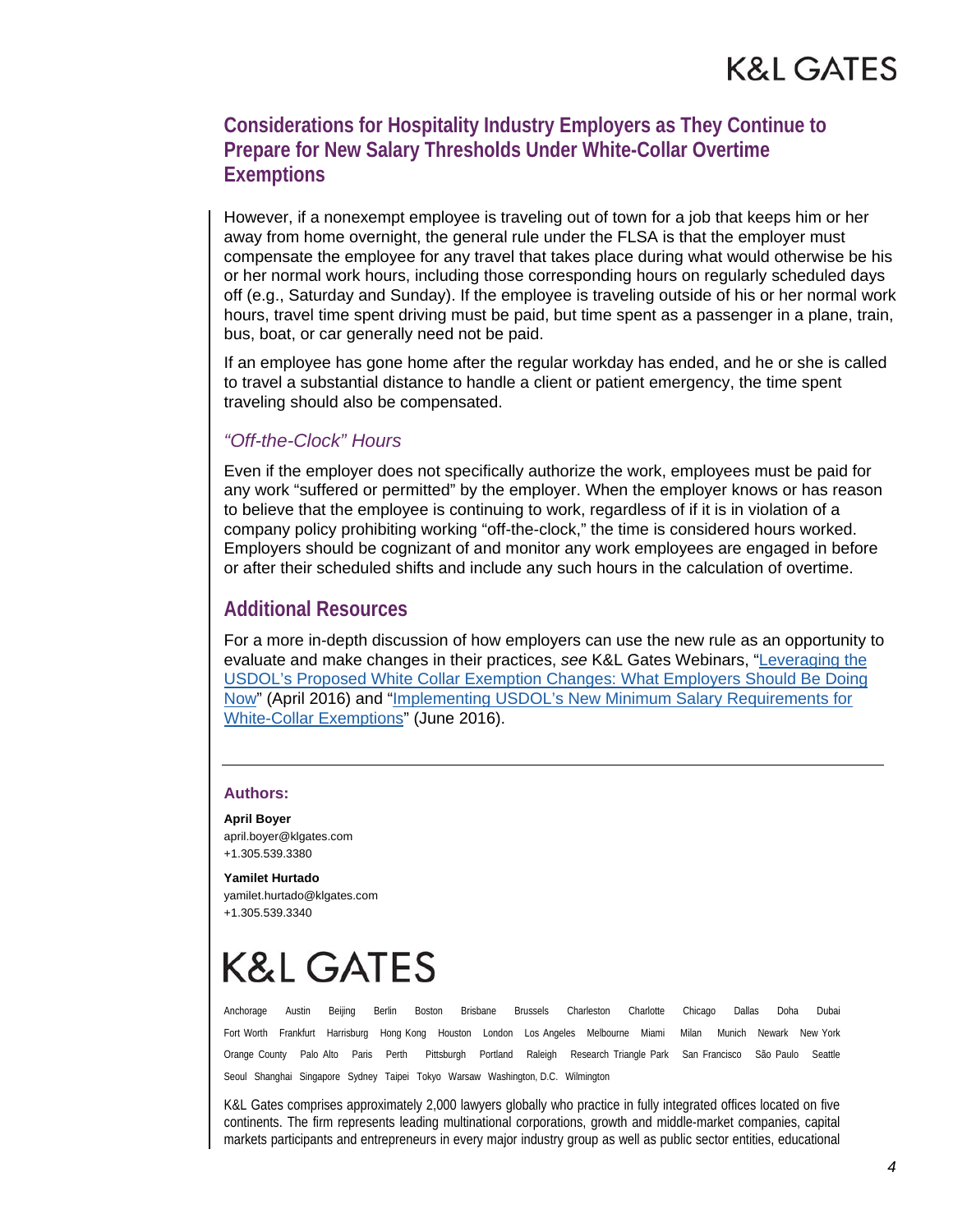#### **Considerations for Hospitality Industry Employers as They Continue to Prepare for New Salary Thresholds Under White-Collar Overtime Exemptions**

However, if a nonexempt employee is traveling out of town for a job that keeps him or her away from home overnight, the general rule under the FLSA is that the employer must compensate the employee for any travel that takes place during what would otherwise be his or her normal work hours, including those corresponding hours on regularly scheduled days off (e.g., Saturday and Sunday). If the employee is traveling outside of his or her normal work hours, travel time spent driving must be paid, but time spent as a passenger in a plane, train, bus, boat, or car generally need not be paid.

If an employee has gone home after the regular workday has ended, and he or she is called to travel a substantial distance to handle a client or patient emergency, the time spent traveling should also be compensated.

#### *"Off-the-Clock" Hours*

Even if the employer does not specifically authorize the work, employees must be paid for any work "suffered or permitted" by the employer. When the employer knows or has reason to believe that the employee is continuing to work, regardless of if it is in violation of a company policy prohibiting working "off-the-clock," the time is considered hours worked. Employers should be cognizant of and monitor any work employees are engaged in before or after their scheduled shifts and include any such hours in the calculation of overtime.

#### **Additional Resources**

For a more in-depth discussion of how employers can use the new rule as an opportunity to evaluate and make changes in their practices, *see* K&L Gates Webinars, "Leveraging the [USDOL's Proposed White Collar Exemption Changes: What Employers Should Be Doing](http://www.klgateshub.com/details/?media=44206f50-e891-4ab4-8d16-2a7b55689c3a)  [Now" \(April 2016\) and "Implementing USDOL's New Minimum Salary Requirements for](http://www.klgateshub.com/details/?media=bf535f50-3593-488f-90c9-a55c245ae2cb)  White-Collar Exemptions" (June 2016).

#### **Authors:**

**April Boyer**  april.boyer@klgates.com +1.305.539.3380

**Yamilet Hurtado**  yamilet.hurtado@klgates.com +1.305.539.3340

# K&L GATES

Anchorage Austin Beijing Berlin Boston Brisbane Brussels Charleston Charlotte Chicago Dallas Doha Dubai Fort Worth Frankfurt Harrisburg Hong Kong Houston London Los Angeles Melbourne Miami Milan Munich Newark New York Orange County Palo Alto Paris Perth Pittsburgh Portland Raleigh Research Triangle Park San Francisco São Paulo Seattle Seoul Shanghai Singapore Sydney Taipei Tokyo Warsaw Washington, D.C. Wilmington

K&L Gates comprises approximately 2,000 lawyers globally who practice in fully integrated offices located on five continents. The firm represents leading multinational corporations, growth and middle-market companies, capital markets participants and entrepreneurs in every major industry group as well as public sector entities, educational